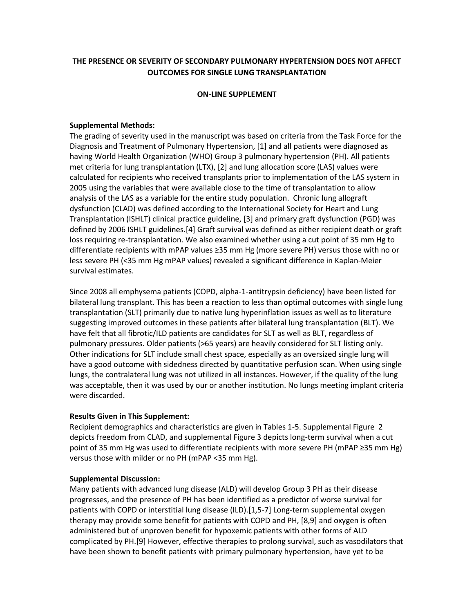## **THE PRESENCE OR SEVERITY OF SECONDARY PULMONARY HYPERTENSION DOES NOT AFFECT OUTCOMES FOR SINGLE LUNG TRANSPLANTATION**

#### **ON-LINE SUPPLEMENT**

### **Supplemental Methods:**

The grading of severity used in the manuscript was based on criteria from the Task Force for the Diagnosis and Treatment of Pulmonary Hypertension, [1] and all patients were diagnosed as having World Health Organization (WHO) Group 3 pulmonary hypertension (PH). All patients met criteria for lung transplantation (LTX), [2] and lung allocation score (LAS) values were calculated for recipients who received transplants prior to implementation of the LAS system in 2005 using the variables that were available close to the time of transplantation to allow analysis of the LAS as a variable for the entire study population. Chronic lung allograft dysfunction (CLAD) was defined according to the International Society for Heart and Lung Transplantation (ISHLT) clinical practice guideline, [3] and primary graft dysfunction (PGD) was defined by 2006 ISHLT guidelines.[4] Graft survival was defined as either recipient death or graft loss requiring re-transplantation. We also examined whether using a cut point of 35 mm Hg to differentiate recipients with mPAP values ≥35 mm Hg (more severe PH) versus those with no or less severe PH (<35 mm Hg mPAP values) revealed a significant difference in Kaplan-Meier survival estimates.

Since 2008 all emphysema patients (COPD, alpha-1-antitrypsin deficiency) have been listed for bilateral lung transplant. This has been a reaction to less than optimal outcomes with single lung transplantation (SLT) primarily due to native lung hyperinflation issues as well as to literature suggesting improved outcomes in these patients after bilateral lung transplantation (BLT). We have felt that all fibrotic/ILD patients are candidates for SLT as well as BLT, regardless of pulmonary pressures. Older patients (>65 years) are heavily considered for SLT listing only. Other indications for SLT include small chest space, especially as an oversized single lung will have a good outcome with sidedness directed by quantitative perfusion scan. When using single lungs, the contralateral lung was not utilized in all instances. However, if the quality of the lung was acceptable, then it was used by our or another institution. No lungs meeting implant criteria were discarded.

#### **Results Given in This Supplement:**

Recipient demographics and characteristics are given in Tables 1-5. Supplemental Figure 2 depicts freedom from CLAD, and supplemental Figure 3 depicts long-term survival when a cut point of 35 mm Hg was used to differentiate recipients with more severe PH (mPAP ≥35 mm Hg) versus those with milder or no PH (mPAP <35 mm Hg).

#### **Supplemental Discussion:**

Many patients with advanced lung disease (ALD) will develop Group 3 PH as their disease progresses, and the presence of PH has been identified as a predictor of worse survival for patients with COPD or interstitial lung disease (ILD).[1,5-7] Long-term supplemental oxygen therapy may provide some benefit for patients with COPD and PH, [8,9] and oxygen is often administered but of unproven benefit for hypoxemic patients with other forms of ALD complicated by PH.[9] However, effective therapies to prolong survival, such as vasodilators that have been shown to benefit patients with primary pulmonary hypertension, have yet to be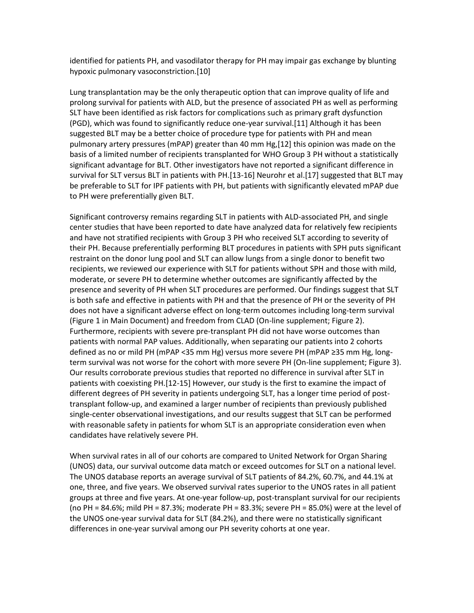identified for patients PH, and vasodilator therapy for PH may impair gas exchange by blunting hypoxic pulmonary vasoconstriction.[10]

Lung transplantation may be the only therapeutic option that can improve quality of life and prolong survival for patients with ALD, but the presence of associated PH as well as performing SLT have been identified as risk factors for complications such as primary graft dysfunction (PGD), which was found to significantly reduce one-year survival.[11] Although it has been suggested BLT may be a better choice of procedure type for patients with PH and mean pulmonary artery pressures (mPAP) greater than 40 mm Hg,[12] this opinion was made on the basis of a limited number of recipients transplanted for WHO Group 3 PH without a statistically significant advantage for BLT. Other investigators have not reported a significant difference in survival for SLT versus BLT in patients with PH.[13-16] Neurohr et al.[17] suggested that BLT may be preferable to SLT for IPF patients with PH, but patients with significantly elevated mPAP due to PH were preferentially given BLT.

Significant controversy remains regarding SLT in patients with ALD-associated PH, and single center studies that have been reported to date have analyzed data for relatively few recipients and have not stratified recipients with Group 3 PH who received SLT according to severity of their PH. Because preferentially performing BLT procedures in patients with SPH puts significant restraint on the donor lung pool and SLT can allow lungs from a single donor to benefit two recipients, we reviewed our experience with SLT for patients without SPH and those with mild, moderate, or severe PH to determine whether outcomes are significantly affected by the presence and severity of PH when SLT procedures are performed. Our findings suggest that SLT is both safe and effective in patients with PH and that the presence of PH or the severity of PH does not have a significant adverse effect on long-term outcomes including long-term survival (Figure 1 in Main Document) and freedom from CLAD (On-line supplement; Figure 2). Furthermore, recipients with severe pre-transplant PH did not have worse outcomes than patients with normal PAP values. Additionally, when separating our patients into 2 cohorts defined as no or mild PH (mPAP <35 mm Hg) versus more severe PH (mPAP ≥35 mm Hg, longterm survival was not worse for the cohort with more severe PH (On-line supplement; Figure 3). Our results corroborate previous studies that reported no difference in survival after SLT in patients with coexisting PH.[12-15] However, our study is the first to examine the impact of different degrees of PH severity in patients undergoing SLT, has a longer time period of posttransplant follow-up, and examined a larger number of recipients than previously published single-center observational investigations, and our results suggest that SLT can be performed with reasonable safety in patients for whom SLT is an appropriate consideration even when candidates have relatively severe PH.

When survival rates in all of our cohorts are compared to United Network for Organ Sharing (UNOS) data, our survival outcome data match or exceed outcomes for SLT on a national level. The UNOS database reports an average survival of SLT patients of 84.2%, 60.7%, and 44.1% at one, three, and five years. We observed survival rates superior to the UNOS rates in all patient groups at three and five years. At one-year follow-up, post-transplant survival for our recipients (no PH = 84.6%; mild PH = 87.3%; moderate PH = 83.3%; severe PH = 85.0%) were at the level of the UNOS one-year survival data for SLT (84.2%), and there were no statistically significant differences in one-year survival among our PH severity cohorts at one year.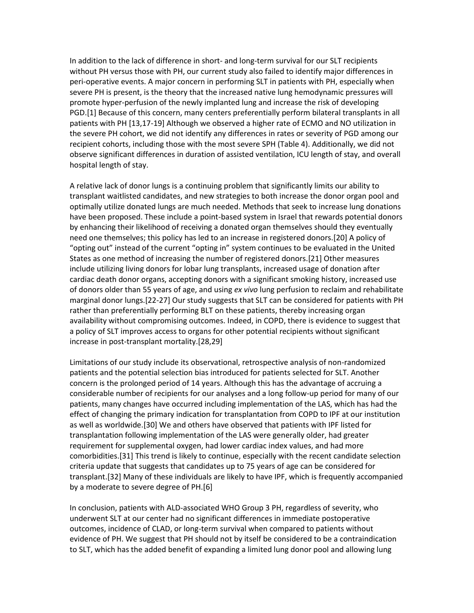In addition to the lack of difference in short- and long-term survival for our SLT recipients without PH versus those with PH, our current study also failed to identify major differences in peri-operative events. A major concern in performing SLT in patients with PH, especially when severe PH is present, is the theory that the increased native lung hemodynamic pressures will promote hyper-perfusion of the newly implanted lung and increase the risk of developing PGD.[1] Because of this concern, many centers preferentially perform bilateral transplants in all patients with PH [13,17-19] Although we observed a higher rate of ECMO and NO utilization in the severe PH cohort, we did not identify any differences in rates or severity of PGD among our recipient cohorts, including those with the most severe SPH (Table 4). Additionally, we did not observe significant differences in duration of assisted ventilation, ICU length of stay, and overall hospital length of stay.

A relative lack of donor lungs is a continuing problem that significantly limits our ability to transplant waitlisted candidates, and new strategies to both increase the donor organ pool and optimally utilize donated lungs are much needed. Methods that seek to increase lung donations have been proposed. These include a point-based system in Israel that rewards potential donors by enhancing their likelihood of receiving a donated organ themselves should they eventually need one themselves; this policy has led to an increase in registered donors.[20] A policy of "opting out" instead of the current "opting in" system continues to be evaluated in the United States as one method of increasing the number of registered donors.[21] Other measures include utilizing living donors for lobar lung transplants, increased usage of donation after cardiac death donor organs, accepting donors with a significant smoking history, increased use of donors older than 55 years of age, and using *ex vivo* lung perfusion to reclaim and rehabilitate marginal donor lungs.[22-27] Our study suggests that SLT can be considered for patients with PH rather than preferentially performing BLT on these patients, thereby increasing organ availability without compromising outcomes. Indeed, in COPD, there is evidence to suggest that a policy of SLT improves access to organs for other potential recipients without significant increase in post-transplant mortality.[28,29]

Limitations of our study include its observational, retrospective analysis of non-randomized patients and the potential selection bias introduced for patients selected for SLT. Another concern is the prolonged period of 14 years. Although this has the advantage of accruing a considerable number of recipients for our analyses and a long follow-up period for many of our patients, many changes have occurred including implementation of the LAS, which has had the effect of changing the primary indication for transplantation from COPD to IPF at our institution as well as worldwide.[30] We and others have observed that patients with IPF listed for transplantation following implementation of the LAS were generally older, had greater requirement for supplemental oxygen, had lower cardiac index values, and had more comorbidities.[31] This trend is likely to continue, especially with the recent candidate selection criteria update that suggests that candidates up to 75 years of age can be considered for transplant.[32] Many of these individuals are likely to have IPF, which is frequently accompanied by a moderate to severe degree of PH.[6]

In conclusion, patients with ALD-associated WHO Group 3 PH, regardless of severity, who underwent SLT at our center had no significant differences in immediate postoperative outcomes, incidence of CLAD, or long-term survival when compared to patients without evidence of PH. We suggest that PH should not by itself be considered to be a contraindication to SLT, which has the added benefit of expanding a limited lung donor pool and allowing lung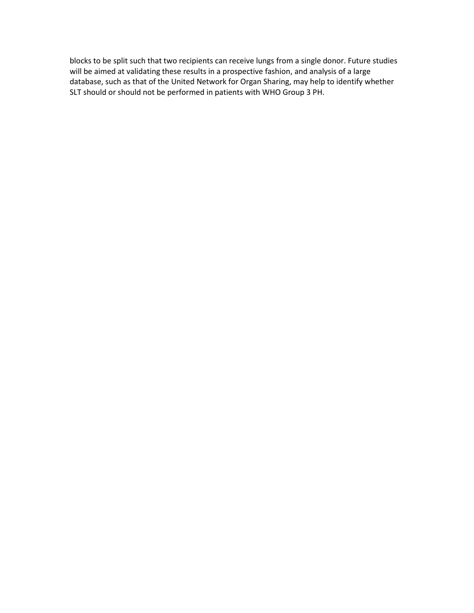blocks to be split such that two recipients can receive lungs from a single donor. Future studies will be aimed at validating these results in a prospective fashion, and analysis of a large database, such as that of the United Network for Organ Sharing, may help to identify whether SLT should or should not be performed in patients with WHO Group 3 PH.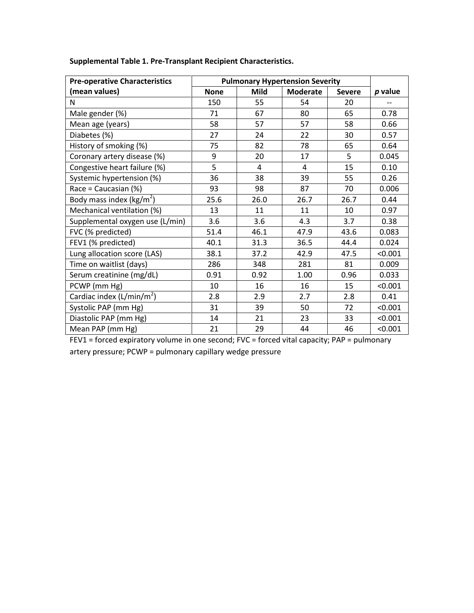| <b>Pre-operative Characteristics</b> | <b>Pulmonary Hypertension Severity</b> |             |                 |               |         |
|--------------------------------------|----------------------------------------|-------------|-----------------|---------------|---------|
| (mean values)                        | <b>None</b>                            | <b>Mild</b> | <b>Moderate</b> | <b>Severe</b> | p value |
| N                                    | 150                                    | 55          | 54              | 20            | --      |
| Male gender (%)                      | 71                                     | 67          | 80              | 65            | 0.78    |
| Mean age (years)                     | 58                                     | 57          | 57              | 58            | 0.66    |
| Diabetes (%)                         | 27                                     | 24          | 22              | 30            | 0.57    |
| History of smoking (%)               | 75                                     | 82          | 78              | 65            | 0.64    |
| Coronary artery disease (%)          | 9                                      | 20          | 17              | 5             | 0.045   |
| Congestive heart failure (%)         | 5                                      | 4           | 4               | 15            | 0.10    |
| Systemic hypertension (%)            | 36                                     | 38          | 39              | 55            | 0.26    |
| Race = Caucasian (%)                 | 93                                     | 98          | 87              | 70            | 0.006   |
| Body mass index ( $\text{kg/m}^2$ )  | 25.6                                   | 26.0        | 26.7            | 26.7          | 0.44    |
| Mechanical ventilation (%)           | 13                                     | 11          | 11              | 10            | 0.97    |
| Supplemental oxygen use (L/min)      | 3.6                                    | 3.6         | 4.3             | 3.7           | 0.38    |
| FVC (% predicted)                    | 51.4                                   | 46.1        | 47.9            | 43.6          | 0.083   |
| FEV1 (% predicted)                   | 40.1                                   | 31.3        | 36.5            | 44.4          | 0.024   |
| Lung allocation score (LAS)          | 38.1                                   | 37.2        | 42.9            | 47.5          | < 0.001 |
| Time on waitlist (days)              | 286                                    | 348         | 281             | 81            | 0.009   |
| Serum creatinine (mg/dL)             | 0.91                                   | 0.92        | 1.00            | 0.96          | 0.033   |
| PCWP (mm Hg)                         | 10                                     | 16          | 16              | 15            | < 0.001 |
| Cardiac index $(L/min/m2)$           | 2.8                                    | 2.9         | 2.7             | 2.8           | 0.41    |
| Systolic PAP (mm Hg)                 | 31                                     | 39          | 50              | 72            | < 0.001 |
| Diastolic PAP (mm Hg)                | 14                                     | 21          | 23              | 33            | < 0.001 |
| Mean PAP (mm Hg)                     | 21                                     | 29          | 44              | 46            | < 0.001 |

**Supplemental Table 1. Pre-Transplant Recipient Characteristics.**

FEV1 = forced expiratory volume in one second; FVC = forced vital capacity; PAP = pulmonary artery pressure; PCWP = pulmonary capillary wedge pressure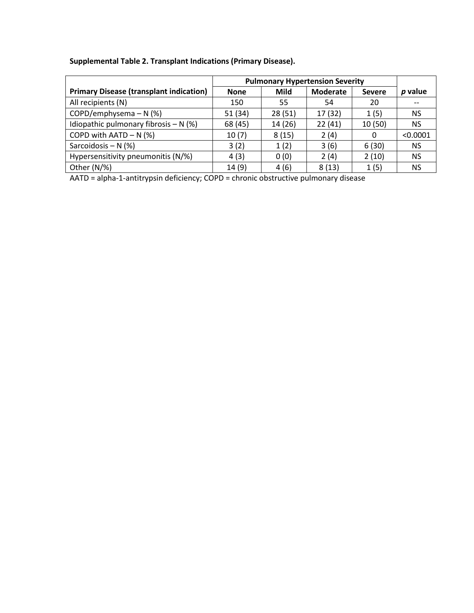| Supplemental Table 2. Transplant Indications (Primary Disease). |  |  |  |  |  |
|-----------------------------------------------------------------|--|--|--|--|--|
|-----------------------------------------------------------------|--|--|--|--|--|

|                                                | <b>Pulmonary Hypertension Severity</b> |         |                 |               |           |
|------------------------------------------------|----------------------------------------|---------|-----------------|---------------|-----------|
| <b>Primary Disease (transplant indication)</b> | <b>None</b>                            | Mild    | <b>Moderate</b> | <b>Severe</b> | p value   |
| All recipients (N)                             | 150                                    | 55      | 54              | 20            |           |
| COPD/emphysema $- N$ (%)                       | 51 (34)                                | 28(51)  | 17 (32)         | 1(5)          | <b>NS</b> |
| Idiopathic pulmonary fibrosis $- N$ (%)        | 68 (45)                                | 14 (26) | 22(41)          | 10(50)        | <b>NS</b> |
| COPD with $AATD - N$ (%)                       | 10(7)                                  | 8(15)   | 2(4)            | 0             | < 0.0001  |
| Sarcoidosis - $N$ (%)                          | 3(2)                                   | 1(2)    | 3(6)            | 6(30)         | <b>NS</b> |
| Hypersensitivity pneumonitis (N/%)             | 4(3)                                   | 0(0)    | 2(4)            | 2(10)         | <b>NS</b> |
| Other $(N/\%)$                                 | 14(9)                                  | 4(6)    | 8(13)           | 1(5)          | NS        |

AATD = alpha-1-antitrypsin deficiency; COPD = chronic obstructive pulmonary disease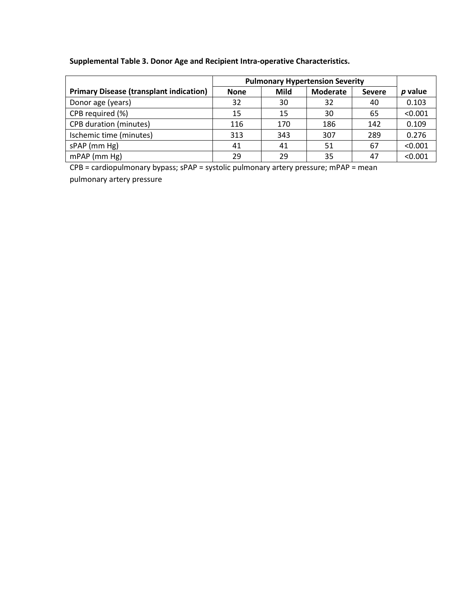# **Supplemental Table 3. Donor Age and Recipient Intra-operative Characteristics.**

|                                                | <b>Pulmonary Hypertension Severity</b> |      |                 |               |         |
|------------------------------------------------|----------------------------------------|------|-----------------|---------------|---------|
| <b>Primary Disease (transplant indication)</b> | <b>None</b>                            | Mild | <b>Moderate</b> | <b>Severe</b> | p value |
| Donor age (years)                              | 32                                     | 30   | 32              | 40            | 0.103   |
| CPB required (%)                               | 15                                     | 15   | 30              | 65            | < 0.001 |
| <b>CPB</b> duration (minutes)                  | 116                                    | 170  | 186             | 142           | 0.109   |
| Ischemic time (minutes)                        | 313                                    | 343  | 307             | 289           | 0.276   |
| sPAP (mm Hg)                                   | 41                                     | 41   | 51              | 67            | < 0.001 |
| mPAP (mm Hg)                                   | 29                                     | 29   | 35              | 47            | < 0.001 |

CPB = cardiopulmonary bypass; sPAP = systolic pulmonary artery pressure; mPAP = mean

pulmonary artery pressure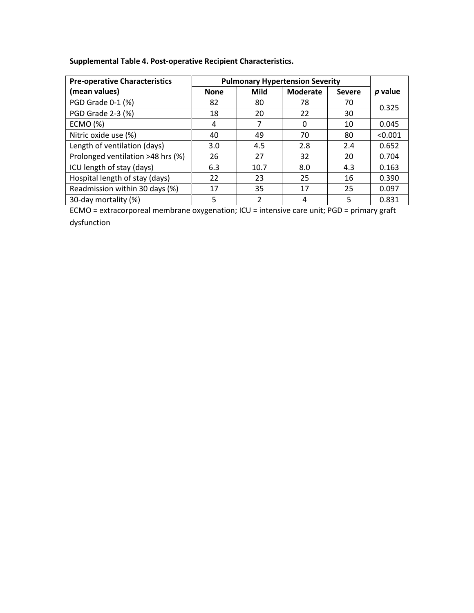| Supplemental Table 4. Post-operative Recipient Characteristics. |  |  |
|-----------------------------------------------------------------|--|--|
|-----------------------------------------------------------------|--|--|

| <b>Pre-operative Characteristics</b> | <b>Pulmonary Hypertension Severity</b> |             |                 |               |           |
|--------------------------------------|----------------------------------------|-------------|-----------------|---------------|-----------|
| (mean values)                        | <b>None</b>                            | <b>Mild</b> | <b>Moderate</b> | <b>Severe</b> | $p$ value |
| PGD Grade 0-1 (%)                    | 82                                     | 80          | 78              | 70            | 0.325     |
| PGD Grade 2-3 (%)                    | 18                                     | 20          | 22              | 30            |           |
| <b>ECMO (%)</b>                      | 4                                      | 7           | 0               | 10            | 0.045     |
| Nitric oxide use (%)                 | 40                                     | 49          | 70              | 80            | < 0.001   |
| Length of ventilation (days)         | 3.0                                    | 4.5         | 2.8             | 2.4           | 0.652     |
| Prolonged ventilation >48 hrs (%)    | 26                                     | 27          | 32              | 20            | 0.704     |
| ICU length of stay (days)            | 6.3                                    | 10.7        | 8.0             | 4.3           | 0.163     |
| Hospital length of stay (days)       | 22                                     | 23          | 25              | 16            | 0.390     |
| Readmission within 30 days (%)       | 17                                     | 35          | 17              | 25            | 0.097     |
| 30-day mortality (%)                 | 5                                      | 2           | 4               | 5             | 0.831     |

ECMO = extracorporeal membrane oxygenation; ICU = intensive care unit; PGD = primary graft dysfunction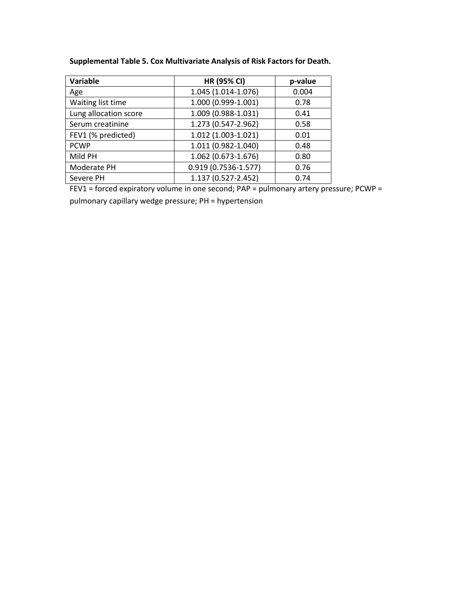| Supplemental Table 5. Cox Multivariate Analysis of Risk Factors for Death. |  |  |  |  |  |  |
|----------------------------------------------------------------------------|--|--|--|--|--|--|
|----------------------------------------------------------------------------|--|--|--|--|--|--|

| Variable              | <b>HR (95% CI)</b>      | p-value |
|-----------------------|-------------------------|---------|
| Age                   | 1.045 (1.014-1.076)     | 0.004   |
| Waiting list time     | 1.000 (0.999-1.001)     | 0.78    |
| Lung allocation score | 1.009 (0.988-1.031)     | 0.41    |
| Serum creatinine      | 1.273 (0.547-2.962)     | 0.58    |
| FEV1 (% predicted)    | 1.012 (1.003-1.021)     | 0.01    |
| <b>PCWP</b>           | 1.011 (0.982-1.040)     | 0.48    |
| Mild PH               | 1.062 (0.673-1.676)     | 0.80    |
| Moderate PH           | $0.919(0.7536 - 1.577)$ | 0.76    |
| Severe PH             | 1.137 (0.527-2.452)     | 0.74    |

FEV1 = forced expiratory volume in one second; PAP = pulmonary artery pressure; PCWP =

pulmonary capillary wedge pressure; PH = hypertension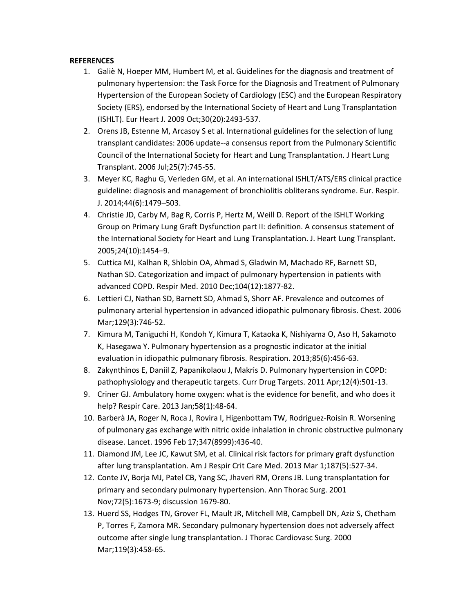### **REFERENCES**

- 1. Galiè N, Hoeper MM, Humbert M, et al. Guidelines for the diagnosis and treatment of pulmonary hypertension: the Task Force for the Diagnosis and Treatment of Pulmonary Hypertension of the European Society of Cardiology (ESC) and the European Respiratory Society (ERS), endorsed by the International Society of Heart and Lung Transplantation (ISHLT). Eur Heart J. 2009 Oct;30(20):2493-537.
- 2. Orens JB, Estenne M, Arcasoy S et al. International guidelines for the selection of lung transplant candidates: 2006 update--a consensus report from the Pulmonary Scientific Council of the International Society for Heart and Lung Transplantation. J Heart Lung Transplant. 2006 Jul;25(7):745-55.
- 3. Meyer KC, Raghu G, Verleden GM, et al. An international ISHLT/ATS/ERS clinical practice guideline: diagnosis and management of bronchiolitis obliterans syndrome. Eur. Respir. J. 2014;44(6):1479–503.
- 4. Christie JD, Carby M, Bag R, Corris P, Hertz M, Weill D. Report of the ISHLT Working Group on Primary Lung Graft Dysfunction part II: definition. A consensus statement of the International Society for Heart and Lung Transplantation. J. Heart Lung Transplant. 2005;24(10):1454–9.
- 5. Cuttica MJ, Kalhan R, Shlobin OA, Ahmad S, Gladwin M, Machado RF, Barnett SD, Nathan SD. Categorization and impact of pulmonary hypertension in patients with advanced COPD. Respir Med. 2010 Dec;104(12):1877-82.
- 6. Lettieri CJ, Nathan SD, Barnett SD, Ahmad S, Shorr AF. Prevalence and outcomes of pulmonary arterial hypertension in advanced idiopathic pulmonary fibrosis. Chest. 2006 Mar;129(3):746-52.
- 7. Kimura M, Taniguchi H, Kondoh Y, Kimura T, Kataoka K, Nishiyama O, Aso H, Sakamoto K, Hasegawa Y. Pulmonary hypertension as a prognostic indicator at the initial evaluation in idiopathic pulmonary fibrosis. Respiration. 2013;85(6):456-63.
- 8. Zakynthinos E, Daniil Z, Papanikolaou J, Makris D. Pulmonary hypertension in COPD: pathophysiology and therapeutic targets. Curr Drug Targets. 2011 Apr;12(4):501-13.
- 9. Criner GJ. Ambulatory home oxygen: what is the evidence for benefit, and who does it help? Respir Care. 2013 Jan;58(1):48-64.
- 10. Barberà JA, Roger N, Roca J, Rovira I, Higenbottam TW, Rodriguez-Roisin R. Worsening of pulmonary gas exchange with nitric oxide inhalation in chronic obstructive pulmonary disease. Lancet. 1996 Feb 17;347(8999):436-40.
- 11. Diamond JM, Lee JC, Kawut SM, et al. Clinical risk factors for primary graft dysfunction after lung transplantation. Am J Respir Crit Care Med. 2013 Mar 1;187(5):527-34.
- 12. Conte JV, Borja MJ, Patel CB, Yang SC, Jhaveri RM, Orens JB. Lung transplantation for primary and secondary pulmonary hypertension. Ann Thorac Surg. 2001 Nov;72(5):1673-9; discussion 1679-80.
- 13. Huerd SS, Hodges TN, Grover FL, Mault JR, Mitchell MB, Campbell DN, Aziz S, Chetham P, Torres F, Zamora MR. Secondary pulmonary hypertension does not adversely affect outcome after single lung transplantation. J Thorac Cardiovasc Surg. 2000 Mar;119(3):458-65.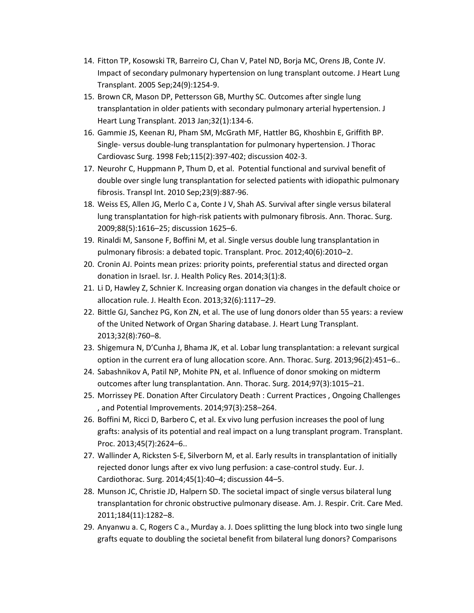- 14. Fitton TP, Kosowski TR, Barreiro CJ, Chan V, Patel ND, Borja MC, Orens JB, Conte JV. Impact of secondary pulmonary hypertension on lung transplant outcome. J Heart Lung Transplant. 2005 Sep;24(9):1254-9.
- 15. Brown CR, Mason DP, Pettersson GB, Murthy SC. Outcomes after single lung transplantation in older patients with secondary pulmonary arterial hypertension. J Heart Lung Transplant. 2013 Jan;32(1):134-6.
- 16. Gammie JS, Keenan RJ, Pham SM, McGrath MF, Hattler BG, Khoshbin E, Griffith BP. Single- versus double-lung transplantation for pulmonary hypertension. J Thorac Cardiovasc Surg. 1998 Feb;115(2):397-402; discussion 402-3.
- 17. Neurohr C, Huppmann P, Thum D, et al. Potential functional and survival benefit of double over single lung transplantation for selected patients with idiopathic pulmonary fibrosis. Transpl Int. 2010 Sep;23(9):887-96.
- 18. Weiss ES, Allen JG, Merlo C a, Conte J V, Shah AS. Survival after single versus bilateral lung transplantation for high-risk patients with pulmonary fibrosis. Ann. Thorac. Surg. 2009;88(5):1616–25; discussion 1625–6.
- 19. Rinaldi M, Sansone F, Boffini M, et al. Single versus double lung transplantation in pulmonary fibrosis: a debated topic. Transplant. Proc. 2012;40(6):2010–2.
- 20. Cronin AJ. Points mean prizes: priority points, preferential status and directed organ donation in Israel. Isr. J. Health Policy Res. 2014;3(1):8.
- 21. Li D, Hawley Z, Schnier K. Increasing organ donation via changes in the default choice or allocation rule. J. Health Econ. 2013;32(6):1117–29.
- 22. Bittle GJ, Sanchez PG, Kon ZN, et al. The use of lung donors older than 55 years: a review of the United Network of Organ Sharing database. J. Heart Lung Transplant. 2013;32(8):760–8.
- 23. Shigemura N, D'Cunha J, Bhama JK, et al. Lobar lung transplantation: a relevant surgical option in the current era of lung allocation score. Ann. Thorac. Surg. 2013;96(2):451–6..
- 24. Sabashnikov A, Patil NP, Mohite PN, et al. Influence of donor smoking on midterm outcomes after lung transplantation. Ann. Thorac. Surg. 2014;97(3):1015–21.
- 25. Morrissey PE. Donation After Circulatory Death : Current Practices , Ongoing Challenges , and Potential Improvements. 2014;97(3):258–264.
- 26. Boffini M, Ricci D, Barbero C, et al. Ex vivo lung perfusion increases the pool of lung grafts: analysis of its potential and real impact on a lung transplant program. Transplant. Proc. 2013;45(7):2624–6..
- 27. Wallinder A, Ricksten S-E, Silverborn M, et al. Early results in transplantation of initially rejected donor lungs after ex vivo lung perfusion: a case-control study. Eur. J. Cardiothorac. Surg. 2014;45(1):40–4; discussion 44–5.
- 28. Munson JC, Christie JD, Halpern SD. The societal impact of single versus bilateral lung transplantation for chronic obstructive pulmonary disease. Am. J. Respir. Crit. Care Med. 2011;184(11):1282–8.
- 29. Anyanwu a. C, Rogers C a., Murday a. J. Does splitting the lung block into two single lung grafts equate to doubling the societal benefit from bilateral lung donors? Comparisons